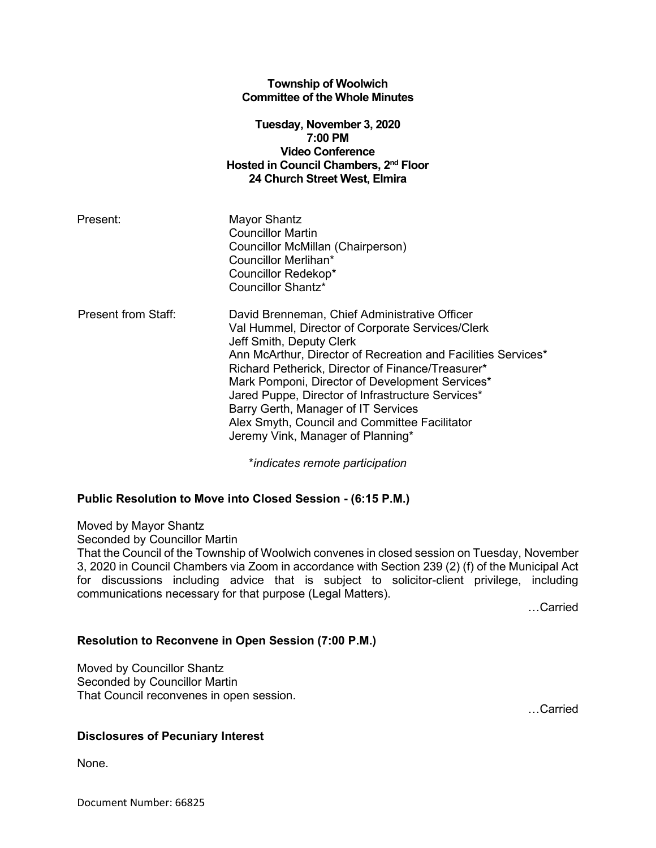|                     | <b>Township of Woolwich</b><br><b>Committee of the Whole Minutes</b>                                                                                                                                                                                                                                                                                                                                                                                                                     |
|---------------------|------------------------------------------------------------------------------------------------------------------------------------------------------------------------------------------------------------------------------------------------------------------------------------------------------------------------------------------------------------------------------------------------------------------------------------------------------------------------------------------|
|                     | Tuesday, November 3, 2020<br>$7:00$ PM<br><b>Video Conference</b><br>Hosted in Council Chambers, 2 <sup>nd</sup> Floor<br>24 Church Street West, Elmira                                                                                                                                                                                                                                                                                                                                  |
| Present:            | Mayor Shantz<br><b>Councillor Martin</b><br>Councillor McMillan (Chairperson)<br>Councillor Merlihan*<br>Councillor Redekop*<br>Councillor Shantz*                                                                                                                                                                                                                                                                                                                                       |
| Present from Staff: | David Brenneman, Chief Administrative Officer<br>Val Hummel, Director of Corporate Services/Clerk<br>Jeff Smith, Deputy Clerk<br>Ann McArthur, Director of Recreation and Facilities Services*<br>Richard Petherick, Director of Finance/Treasurer*<br>Mark Pomponi, Director of Development Services*<br>Jared Puppe, Director of Infrastructure Services*<br>Barry Gerth, Manager of IT Services<br>Alex Smyth, Council and Committee Facilitator<br>Jeremy Vink, Manager of Planning* |

\**indicates remote participation*

## **Public Resolution to Move into Closed Session - (6:15 P.M.)**

Moved by Mayor Shantz

Seconded by Councillor Martin

That the Council of the Township of Woolwich convenes in closed session on Tuesday, November 3, 2020 in Council Chambers via Zoom in accordance with Section 239 (2) (f) of the Municipal Act for discussions including advice that is subject to solicitor-client privilege, including communications necessary for that purpose (Legal Matters).

…Carried

## **Resolution to Reconvene in Open Session (7:00 P.M.)**

Moved by Councillor Shantz Seconded by Councillor Martin That Council reconvenes in open session.

…Carried

## **Disclosures of Pecuniary Interest**

None.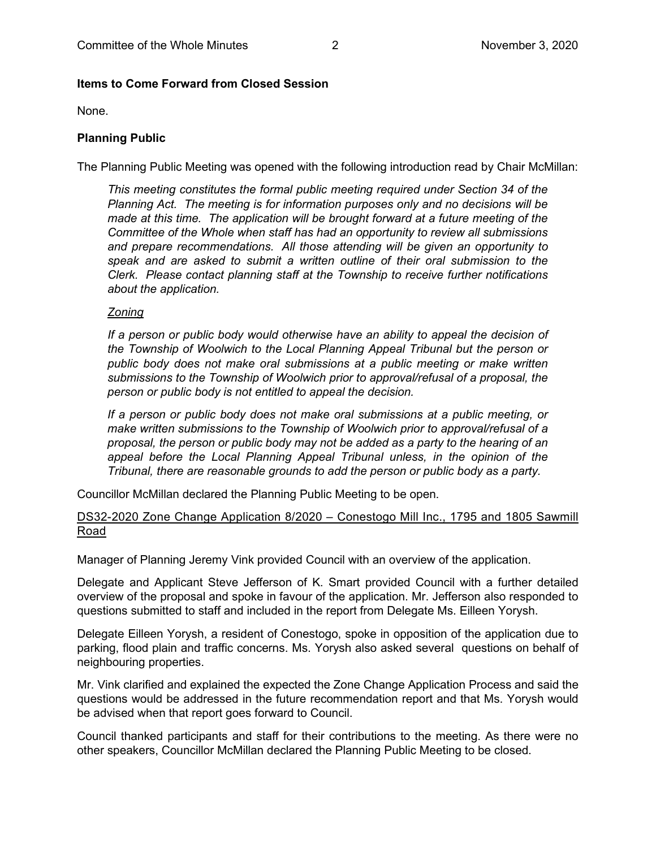## **Items to Come Forward from Closed Session**

None.

#### **Planning Public**

The Planning Public Meeting was opened with the following introduction read by Chair McMillan:

*This meeting constitutes the formal public meeting required under Section 34 of the Planning Act. The meeting is for information purposes only and no decisions will be made at this time. The application will be brought forward at a future meeting of the Committee of the Whole when staff has had an opportunity to review all submissions and prepare recommendations. All those attending will be given an opportunity to speak and are asked to submit a written outline of their oral submission to the Clerk. Please contact planning staff at the Township to receive further notifications about the application.*

#### *Zoning*

*If a person or public body would otherwise have an ability to appeal the decision of the Township of Woolwich to the Local Planning Appeal Tribunal but the person or public body does not make oral submissions at a public meeting or make written submissions to the Township of Woolwich prior to approval/refusal of a proposal, the person or public body is not entitled to appeal the decision.*

*If a person or public body does not make oral submissions at a public meeting, or make written submissions to the Township of Woolwich prior to approval/refusal of a proposal, the person or public body may not be added as a party to the hearing of an appeal before the Local Planning Appeal Tribunal unless, in the opinion of the Tribunal, there are reasonable grounds to add the person or public body as a party.*

Councillor McMillan declared the Planning Public Meeting to be open.

## DS32-2020 Zone Change Application 8/2020 – Conestogo Mill Inc., 1795 and 1805 Sawmill Road

Manager of Planning Jeremy Vink provided Council with an overview of the application.

Delegate and Applicant Steve Jefferson of K. Smart provided Council with a further detailed overview of the proposal and spoke in favour of the application. Mr. Jefferson also responded to questions submitted to staff and included in the report from Delegate Ms. Eilleen Yorysh.

Delegate Eilleen Yorysh, a resident of Conestogo, spoke in opposition of the application due to parking, flood plain and traffic concerns. Ms. Yorysh also asked several questions on behalf of neighbouring properties.

Mr. Vink clarified and explained the expected the Zone Change Application Process and said the questions would be addressed in the future recommendation report and that Ms. Yorysh would be advised when that report goes forward to Council.

Council thanked participants and staff for their contributions to the meeting. As there were no other speakers, Councillor McMillan declared the Planning Public Meeting to be closed.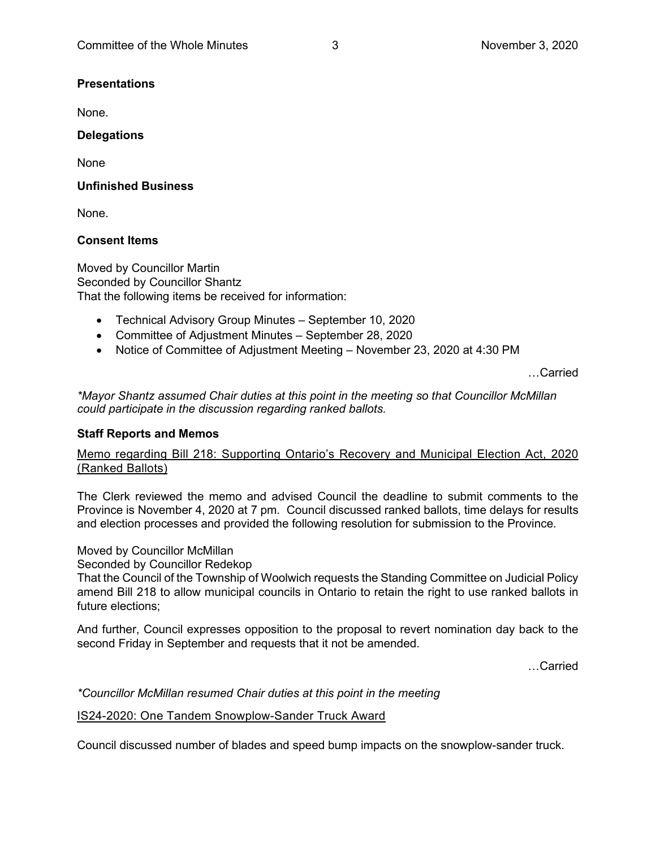#### **Presentations**

None.

#### **Delegations**

None

#### **Unfinished Business**

None.

## **Consent Items**

Moved by Councillor Martin Seconded by Councillor Shantz That the following items be received for information:

- Technical Advisory Group Minutes September 10, 2020
- Committee of Adjustment Minutes September 28, 2020
- Notice of Committee of Adjustment Meeting November 23, 2020 at 4:30 PM

…Carried

*\*Mayor Shantz assumed Chair duties at this point in the meeting so that Councillor McMillan could participate in the discussion regarding ranked ballots.*

#### **Staff Reports and Memos**

## Memo regarding Bill 218: Supporting Ontario's Recovery and Municipal Election Act, 2020 (Ranked Ballots)

The Clerk reviewed the memo and advised Council the deadline to submit comments to the Province is November 4, 2020 at 7 pm. Council discussed ranked ballots, time delays for results and election processes and provided the following resolution for submission to the Province.

## Moved by Councillor McMillan

Seconded by Councillor Redekop

That the Council of the Township of Woolwich requests the Standing Committee on Judicial Policy amend Bill 218 to allow municipal councils in Ontario to retain the right to use ranked ballots in future elections;

And further, Council expresses opposition to the proposal to revert nomination day back to the second Friday in September and requests that it not be amended.

…Carried

*\*Councillor McMillan resumed Chair duties at this point in the meeting*

#### IS24-2020: One Tandem Snowplow-Sander Truck Award

Council discussed number of blades and speed bump impacts on the snowplow-sander truck.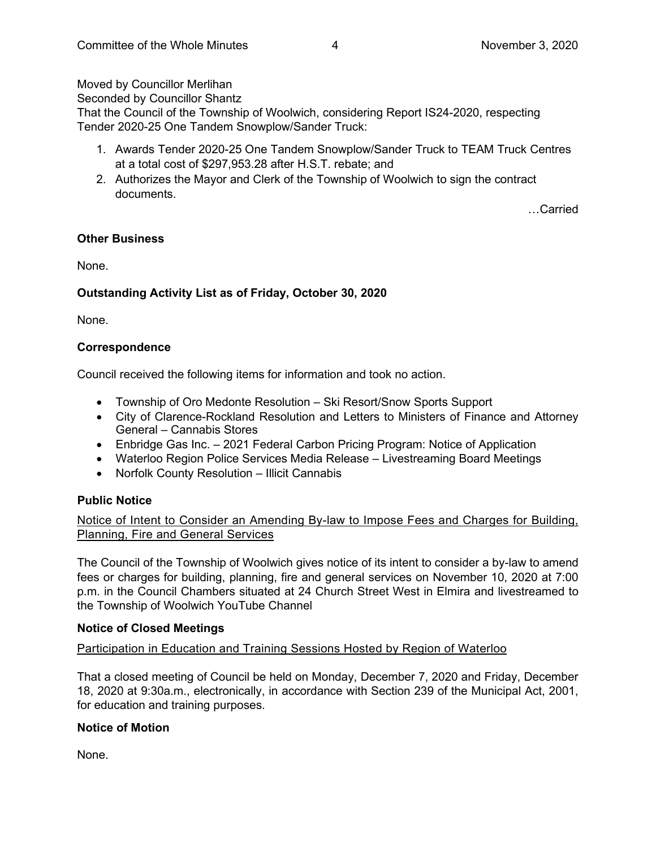Moved by Councillor Merlihan

Seconded by Councillor Shantz

That the Council of the Township of Woolwich, considering Report IS24-2020, respecting Tender 2020-25 One Tandem Snowplow/Sander Truck:

- 1. Awards Tender 2020-25 One Tandem Snowplow/Sander Truck to TEAM Truck Centres at a total cost of \$297,953.28 after H.S.T. rebate; and
- 2. Authorizes the Mayor and Clerk of the Township of Woolwich to sign the contract documents.

…Carried

## **Other Business**

None.

# **Outstanding Activity List as of Friday, October 30, 2020**

None.

## **Correspondence**

Council received the following items for information and took no action.

- Township of Oro Medonte Resolution Ski Resort/Snow Sports Support
- City of Clarence-Rockland Resolution and Letters to Ministers of Finance and Attorney General – Cannabis Stores
- Enbridge Gas Inc. 2021 Federal Carbon Pricing Program: Notice of Application
- Waterloo Region Police Services Media Release Livestreaming Board Meetings
- Norfolk County Resolution Illicit Cannabis

## **Public Notice**

Notice of Intent to Consider an Amending By-law to Impose Fees and Charges for Building, Planning, Fire and General Services

The Council of the Township of Woolwich gives notice of its intent to consider a by-law to amend fees or charges for building, planning, fire and general services on November 10, 2020 at 7:00 p.m. in the Council Chambers situated at 24 Church Street West in Elmira and livestreamed to the Township of Woolwich YouTube Channel

## **Notice of Closed Meetings**

Participation in Education and Training Sessions Hosted by Region of Waterloo

That a closed meeting of Council be held on Monday, December 7, 2020 and Friday, December 18, 2020 at 9:30a.m., electronically, in accordance with Section 239 of the Municipal Act, 2001, for education and training purposes.

## **Notice of Motion**

None.